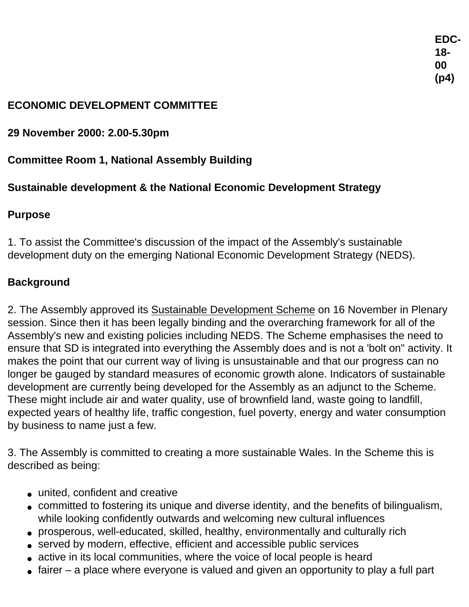### **ECONOMIC DEVELOPMENT COMMITTEE**

**29 November 2000: 2.00-5.30pm** 

## **Committee Room 1, National Assembly Building**

# **Sustainable development & the National Economic Development Strategy**

### **Purpose**

1. To assist the Committee's discussion of the impact of the Assembly's sustainable development duty on the emerging National Economic Development Strategy (NEDS).

### **Background**

2. The Assembly approved its Sustainable Development Scheme on 16 November in Plenary session. Since then it has been legally binding and the overarching framework for all of the Assembly's new and existing policies including NEDS. The Scheme emphasises the need to ensure that SD is integrated into everything the Assembly does and is not a 'bolt on" activity. It makes the point that our current way of living is unsustainable and that our progress can no longer be gauged by standard measures of economic growth alone. Indicators of sustainable development are currently being developed for the Assembly as an adjunct to the Scheme. These might include air and water quality, use of brownfield land, waste going to landfill, expected years of healthy life, traffic congestion, fuel poverty, energy and water consumption by business to name just a few.

3. The Assembly is committed to creating a more sustainable Wales. In the Scheme this is described as being:

- united, confident and creative
- committed to fostering its unique and diverse identity, and the benefits of bilingualism, while looking confidently outwards and welcoming new cultural influences
- prosperous, well-educated, skilled, healthy, environmentally and culturally rich
- served by modern, effective, efficient and accessible public services
- active in its local communities, where the voice of local people is heard
- $\bullet$  fairer a place where everyone is valued and given an opportunity to play a full part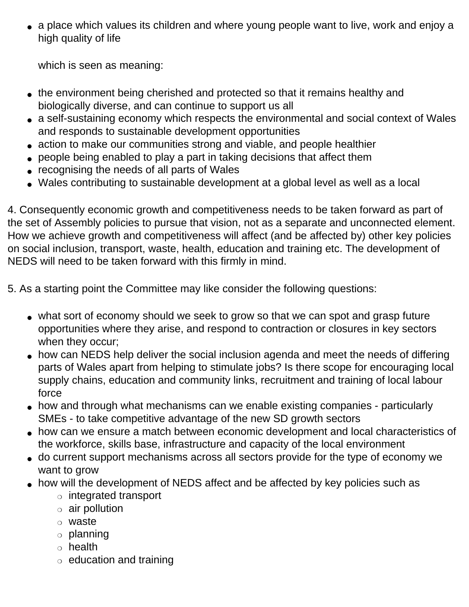• a place which values its children and where young people want to live, work and enjoy a high quality of life

which is seen as meaning:

- the environment being cherished and protected so that it remains healthy and biologically diverse, and can continue to support us all
- a self-sustaining economy which respects the environmental and social context of Wales and responds to sustainable development opportunities
- action to make our communities strong and viable, and people healthier
- people being enabled to play a part in taking decisions that affect them
- recognising the needs of all parts of Wales
- Wales contributing to sustainable development at a global level as well as a local

4. Consequently economic growth and competitiveness needs to be taken forward as part of the set of Assembly policies to pursue that vision, not as a separate and unconnected element. How we achieve growth and competitiveness will affect (and be affected by) other key policies on social inclusion, transport, waste, health, education and training etc. The development of NEDS will need to be taken forward with this firmly in mind.

5. As a starting point the Committee may like consider the following questions:

- what sort of economy should we seek to grow so that we can spot and grasp future opportunities where they arise, and respond to contraction or closures in key sectors when they occur;
- how can NEDS help deliver the social inclusion agenda and meet the needs of differing parts of Wales apart from helping to stimulate jobs? Is there scope for encouraging local supply chains, education and community links, recruitment and training of local labour force
- how and through what mechanisms can we enable existing companies particularly SMEs - to take competitive advantage of the new SD growth sectors
- how can we ensure a match between economic development and local characteristics of the workforce, skills base, infrastructure and capacity of the local environment
- do current support mechanisms across all sectors provide for the type of economy we want to grow
- how will the development of NEDS affect and be affected by key policies such as
	- ❍ integrated transport
	- $\circ$  air pollution
	- ❍ waste
	- ❍ planning
	- ❍ health
	- $\circ$  education and training